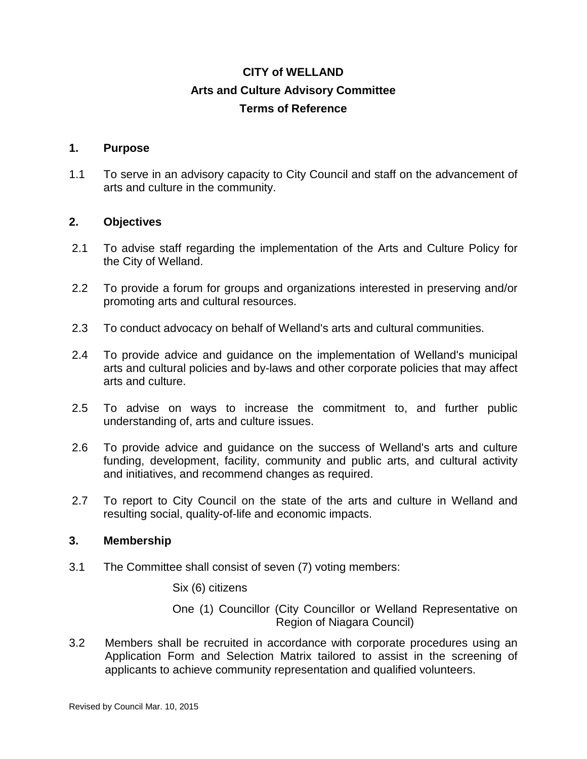# **CITY of WELLAND Arts and Culture Advisory Committee Terms of Reference**

## **1. Purpose**

1.1 To serve in an advisory capacity to City Council and staff on the advancement of arts and culture in the community.

### **2. Objectives**

- 2.1 To advise staff regarding the implementation of the Arts and Culture Policy for the City of Welland.
- 2.2 To provide a forum for groups and organizations interested in preserving and/or promoting arts and cultural resources.
- 2.3 To conduct advocacy on behalf of Welland's arts and cultural communities.
- 2.4 To provide advice and guidance on the implementation of Welland's municipal arts and cultural policies and by-laws and other corporate policies that may affect arts and culture.
- 2.5 To advise on ways to increase the commitment to, and further public understanding of, arts and culture issues.
- 2.6 To provide advice and guidance on the success of Welland's arts and culture funding, development, facility, community and public arts, and cultural activity and initiatives, and recommend changes as required.
- 2.7 To report to City Council on the state of the arts and culture in Welland and resulting social, quality-of-life and economic impacts.

#### **3. Membership**

3.1 The Committee shall consist of seven (7) voting members:

Six (6) citizens

- One (1) Councillor (City Councillor or Welland Representative on Region of Niagara Council)
- 3.2 Members shall be recruited in accordance with corporate procedures using an Application Form and Selection Matrix tailored to assist in the screening of applicants to achieve community representation and qualified volunteers.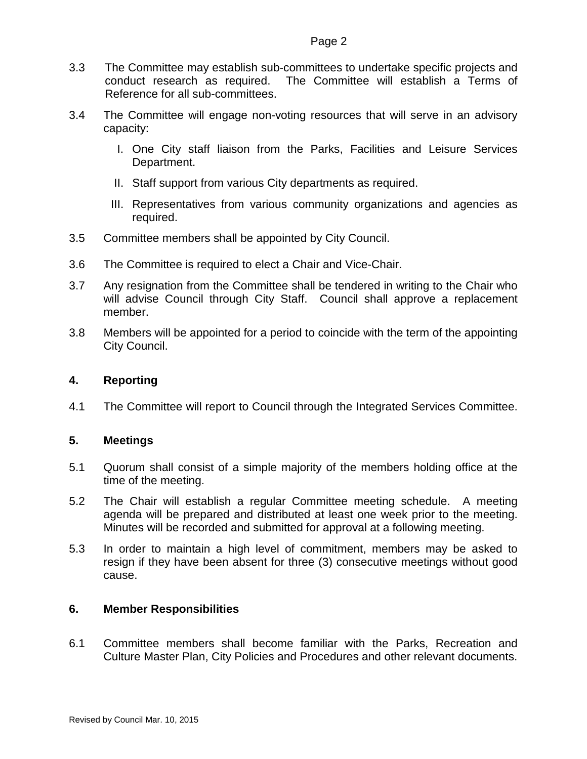- 3.3 The Committee may establish sub-committees to undertake specific projects and conduct research as required. The Committee will establish a Terms of Reference for all sub-committees.
- 3.4 The Committee will engage non-voting resources that will serve in an advisory capacity:
	- I. One City staff liaison from the Parks, Facilities and Leisure Services Department.
	- II. Staff support from various City departments as required.
	- III. Representatives from various community organizations and agencies as required.
- 3.5 Committee members shall be appointed by City Council.
- 3.6 The Committee is required to elect a Chair and Vice-Chair.
- 3.7 Any resignation from the Committee shall be tendered in writing to the Chair who will advise Council through City Staff. Council shall approve a replacement member.
- 3.8 Members will be appointed for a period to coincide with the term of the appointing City Council.

# **4. Reporting**

4.1 The Committee will report to Council through the Integrated Services Committee.

## **5. Meetings**

- 5.1 Quorum shall consist of a simple majority of the members holding office at the time of the meeting.
- 5.2 The Chair will establish a regular Committee meeting schedule. A meeting agenda will be prepared and distributed at least one week prior to the meeting. Minutes will be recorded and submitted for approval at a following meeting.
- 5.3 In order to maintain a high level of commitment, members may be asked to resign if they have been absent for three (3) consecutive meetings without good cause.

## **6. Member Responsibilities**

6.1 Committee members shall become familiar with the Parks, Recreation and Culture Master Plan, City Policies and Procedures and other relevant documents.